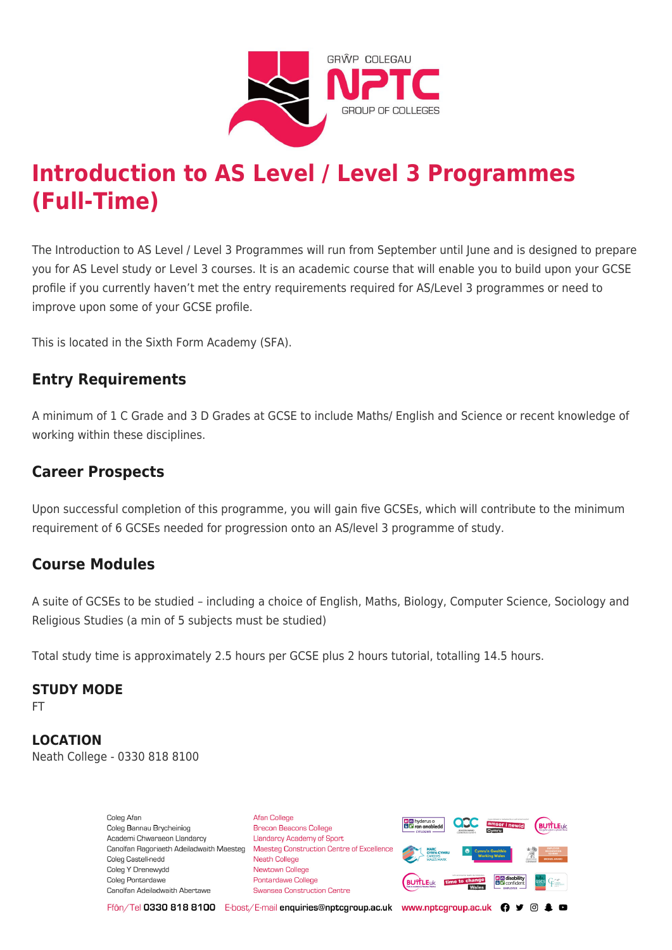

# **Introduction to AS Level / Level 3 Programmes (Full-Time)**

The Introduction to AS Level / Level 3 Programmes will run from September until June and is designed to prepare you for AS Level study or Level 3 courses. It is an academic course that will enable you to build upon your GCSE profile if you currently haven't met the entry requirements required for AS/Level 3 programmes or need to improve upon some of your GCSE profile.

This is located in the Sixth Form Academy (SFA).

### **Entry Requirements**

A minimum of 1 C Grade and 3 D Grades at GCSE to include Maths/ English and Science or recent knowledge of working within these disciplines.

## **Career Prospects**

Upon successful completion of this programme, you will gain five GCSEs, which will contribute to the minimum requirement of 6 GCSEs needed for progression onto an AS/level 3 programme of study.

### **Course Modules**

A suite of GCSEs to be studied – including a choice of English, Maths, Biology, Computer Science, Sociology and Religious Studies (a min of 5 subjects must be studied)

Total study time is approximately 2.5 hours per GCSE plus 2 hours tutorial, totalling 14.5 hours.

#### **STUDY MODE**

FT

**LOCATION** Neath College - 0330 818 8100

> Coleg Afar Coleg Bannau Brycheiniog Academi Chwaraeon Llandarcy Canolfan Ragoriaeth Adeiladwaith Maesteg Coleg Castell-nedd Coleg Y Drenewydd Coleg Pontardawe Canolfan Adeiladwaith Abertawe

**Afan College** Brecon Beacons College **Llandarcy Academy of Sport** Maesteg Construction Centre of Excellence Neath College Newtown College Pontardawe College Swansea Construction Centre



Ffôn/Tel 0330 818 8100 E-bost/E-mail enquiries@nptcgroup.ac.uk www.nptcgroup.ac.uk ? • © \$